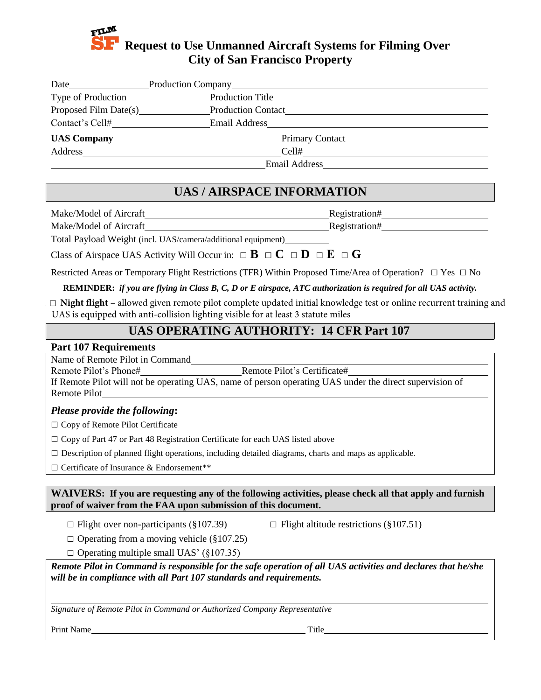# **Request to Use Unmanned Aircraft Systems for Filming Over City of San Francisco Property**

| Type of Production |                                                      |
|--------------------|------------------------------------------------------|
|                    | <b>Production Contact</b>                            |
| Contact's Cell#    |                                                      |
|                    | Primary Contact<br>UAS Company<br><u>UAS Company</u> |
|                    |                                                      |
|                    |                                                      |

# **UAS / AIRSPACE INFORMATION**

Make/Model of Aircraft Registration#

Make/Model of Aircraft **Registration**#

Total Payload Weight (incl. UAS/camera/additional equipment)

Class of Airspace UAS Activity Will Occur in:  $\Box$  **B**  $\Box$  **C**  $\Box$  **D**  $\Box$  **E**  $\Box$  **G** 

Restricted Areas or Temporary Flight Restrictions (TFR) Within Proposed Time/Area of Operation? **□** Yes **□** No

**REMINDER:** *if you are flying in Class B, C, D or E airspace, ATC authorization is required for all UAS activity.*

□ Night flight - allowed given remote pilot complete updated initial knowledge test or online recurrent training and UAS is equipped with anti-collision lighting visible for at least 3 statute miles

## **UAS OPERATING AUTHORITY: 14 CFR Part 107**

#### **Part 107 Requirements**

Name of Remote Pilot in Command

Remote Pilot's Phone# Remote Pilot's Certificate#

If Remote Pilot will not be operating UAS, name of person operating UAS under the direct supervision of Remote Pilot

#### *Please provide the following***:**

□ Copy of Remote Pilot Certificate

□ Copy of Part 47 or Part 48 Registration Certificate for each UAS listed above

**□** Description of planned flight operations, including detailed diagrams, charts and maps as applicable.

**□** Certificate of Insurance & Endorsement\*\*

**WAIVERS: If you are requesting any of the following activities, please check all that apply and furnish proof of waiver from the FAA upon submission of this document.**

**□** Flight over non-participants (§107.39) **□**

 $\Box$  Flight altitude restrictions (§107.51)

**□** Operating from a moving vehicle (§107.25)

**□** Operating multiple small UAS' (§107.35)

*Remote Pilot in Command is responsible for the safe operation of all UAS activities and declares that he/she will be in compliance with all Part 107 standards and requirements.*

*Signature of Remote Pilot in Command or Authorized Company Representative*

Print Name Title **The Struck Struck Struck Struck Struck** Title